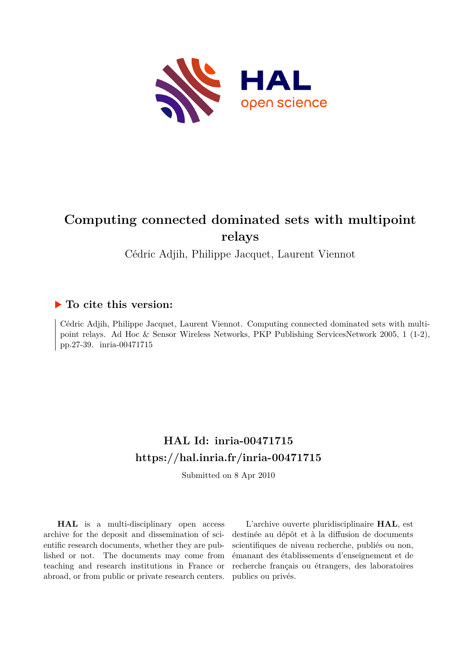

# **Computing connected dominated sets with multipoint relays**

Cédric Adjih, Philippe Jacquet, Laurent Viennot

# **To cite this version:**

Cédric Adjih, Philippe Jacquet, Laurent Viennot. Computing connected dominated sets with multipoint relays. Ad Hoc & Sensor Wireless Networks, PKP Publishing ServicesNetwork 2005, 1 (1-2), pp.27-39. inria-00471715

# **HAL Id: inria-00471715 <https://hal.inria.fr/inria-00471715>**

Submitted on 8 Apr 2010

**HAL** is a multi-disciplinary open access archive for the deposit and dissemination of scientific research documents, whether they are published or not. The documents may come from teaching and research institutions in France or abroad, or from public or private research centers.

L'archive ouverte pluridisciplinaire **HAL**, est destinée au dépôt et à la diffusion de documents scientifiques de niveau recherche, publiés ou non, émanant des établissements d'enseignement et de recherche français ou étrangers, des laboratoires publics ou privés.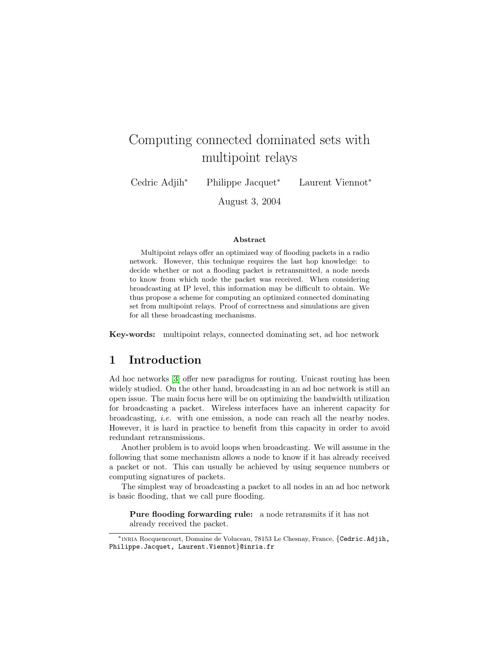# Computing connected dominated sets with multipoint relays

Cedric Adjih<sup>∗</sup> Philippe Jacquet<sup>∗</sup> Laurent Viennot<sup>∗</sup>

August 3, 2004

#### Abstract

Multipoint relays offer an optimized way of flooding packets in a radio network. However, this technique requires the last hop knowledge: to decide whether or not a flooding packet is retransmitted, a node needs to know from which node the packet was received. When considering broadcasting at IP level, this information may be difficult to obtain. We thus propose a scheme for computing an optimized connected dominating set from multipoint relays. Proof of correctness and simulations are given for all these broadcasting mechanisms.

Key-words: multipoint relays, connected dominating set, ad hoc network

## 1 Introduction

Ad hoc networks [3] offer new paradigms for routing. Unicast routing has been widely studied. On the other hand, broadcasting in an ad hoc network is still an open issue. The main focus here will be on optimizing the bandwidth utilization for broadcasting a packet. Wireless interfaces have an inherent capacity for broadcasting, i.e. with one emission, a node can reach all the nearby nodes. However, it is hard in practice to benefit from this capacity in order to avoid redundant retransmissions.

Another problem is to avoid loops when broadcasting. We will assume in the following that some mechanism allows a node to know if it has already received a packet or not. This can usually be achieved by using sequence numbers or computing signatures of packets.

The simplest way of broadcasting a packet to all nodes in an ad hoc network is basic flooding, that we call pure flooding.

Pure flooding forwarding rule: a node retransmits if it has not already received the packet.

<sup>∗</sup>inria Rocquencourt, Domaine de Voluceau, 78153 Le Chesnay, France, {Cedric.Adjih, Philippe.Jacquet, Laurent.Viennot}@inria.fr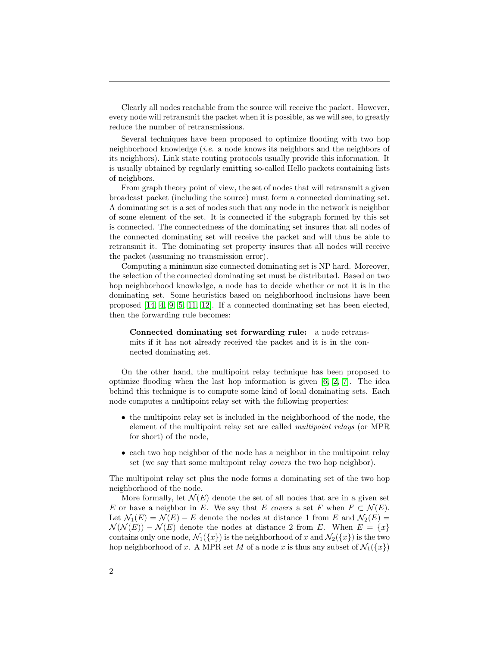Clearly all nodes reachable from the source will receive the packet. However, every node will retransmit the packet when it is possible, as we will see, to greatly reduce the number of retransmissions.

Several techniques have been proposed to optimize flooding with two hop neighborhood knowledge (i.e. a node knows its neighbors and the neighbors of its neighbors). Link state routing protocols usually provide this information. It is usually obtained by regularly emitting so-called Hello packets containing lists of neighbors.

From graph theory point of view, the set of nodes that will retransmit a given broadcast packet (including the source) must form a connected dominating set. A dominating set is a set of nodes such that any node in the network is neighbor of some element of the set. It is connected if the subgraph formed by this set is connected. The connectedness of the dominating set insures that all nodes of the connected dominating set will receive the packet and will thus be able to retransmit it. The dominating set property insures that all nodes will receive the packet (assuming no transmission error).

Computing a minimum size connected dominating set is NP hard. Moreover, the selection of the connected dominating set must be distributed. Based on two hop neighborhood knowledge, a node has to decide whether or not it is in the dominating set. Some heuristics based on neighborhood inclusions have been proposed [14, 4, 9, 5, 11, 12]. If a connected dominating set has been elected, then the forwarding rule becomes:

Connected dominating set forwarding rule: a node retransmits if it has not already received the packet and it is in the connected dominating set.

On the other hand, the multipoint relay technique has been proposed to optimize flooding when the last hop information is given  $[6, 2, 7]$ . The idea behind this technique is to compute some kind of local dominating sets. Each node computes a multipoint relay set with the following properties:

- the multipoint relay set is included in the neighborhood of the node, the element of the multipoint relay set are called multipoint relays (or MPR for short) of the node,
- each two hop neighbor of the node has a neighbor in the multipoint relay set (we say that some multipoint relay covers the two hop neighbor).

The multipoint relay set plus the node forms a dominating set of the two hop neighborhood of the node.

More formally, let  $\mathcal{N}(E)$  denote the set of all nodes that are in a given set E or have a neighbor in E. We say that E covers a set F when  $F \subset \mathcal{N}(E)$ . Let  $\mathcal{N}_1(E) = \mathcal{N}(E) - E$  denote the nodes at distance 1 from E and  $\mathcal{N}_2(E) =$  $\mathcal{N}(\mathcal{N}(E)) - \mathcal{N}(E)$  denote the nodes at distance 2 from E. When  $E = \{x\}$ contains only one node,  $\mathcal{N}_1({x})$  is the neighborhood of x and  $\mathcal{N}_2({x})$  is the two hop neighborhood of x. A MPR set M of a node x is thus any subset of  $\mathcal{N}_1({x})$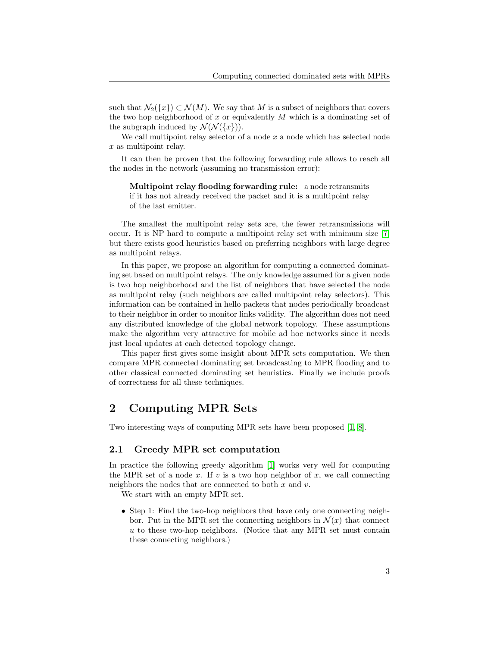such that  $\mathcal{N}_2({x}) \subset \mathcal{N}(M)$ . We say that M is a subset of neighbors that covers the two hop neighborhood of  $x$  or equivalently  $M$  which is a dominating set of the subgraph induced by  $\mathcal{N}(\mathcal{N}(\lbrace x \rbrace)).$ 

We call multipoint relay selector of a node  $x$  a node which has selected node x as multipoint relay.

It can then be proven that the following forwarding rule allows to reach all the nodes in the network (assuming no transmission error):

Multipoint relay flooding forwarding rule: a node retransmits if it has not already received the packet and it is a multipoint relay of the last emitter.

The smallest the multipoint relay sets are, the fewer retransmissions will occur. It is NP hard to compute a multipoint relay set with minimum size [7] but there exists good heuristics based on preferring neighbors with large degree as multipoint relays.

In this paper, we propose an algorithm for computing a connected dominating set based on multipoint relays. The only knowledge assumed for a given node is two hop neighborhood and the list of neighbors that have selected the node as multipoint relay (such neighbors are called multipoint relay selectors). This information can be contained in hello packets that nodes periodically broadcast to their neighbor in order to monitor links validity. The algorithm does not need any distributed knowledge of the global network topology. These assumptions make the algorithm very attractive for mobile ad hoc networks since it needs just local updates at each detected topology change.

This paper first gives some insight about MPR sets computation. We then compare MPR connected dominating set broadcasting to MPR flooding and to other classical connected dominating set heuristics. Finally we include proofs of correctness for all these techniques.

# 2 Computing MPR Sets

Two interesting ways of computing MPR sets have been proposed [1, 8].

### 2.1 Greedy MPR set computation

In practice the following greedy algorithm [1] works very well for computing the MPR set of a node x. If v is a two hop neighbor of x, we call connecting neighbors the nodes that are connected to both  $x$  and  $v$ .

We start with an empty MPR set.

• Step 1: Find the two-hop neighbors that have only one connecting neighbor. Put in the MPR set the connecting neighbors in  $\mathcal{N}(x)$  that connect  $u$  to these two-hop neighbors. (Notice that any MPR set must contain these connecting neighbors.)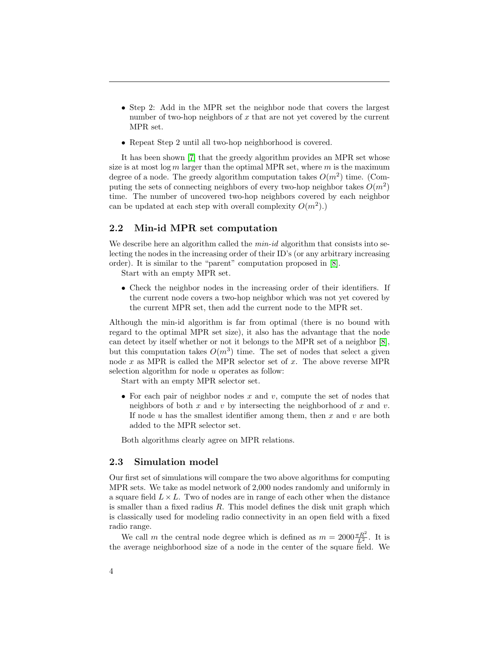- Step 2: Add in the MPR set the neighbor node that covers the largest number of two-hop neighbors of  $x$  that are not yet covered by the current MPR set.
- Repeat Step 2 until all two-hop neighborhood is covered.

It has been shown [7] that the greedy algorithm provides an MPR set whose size is at most  $\log m$  larger than the optimal MPR set, where m is the maximum degree of a node. The greedy algorithm computation takes  $O(m^2)$  time. (Computing the sets of connecting neighbors of every two-hop neighbor takes  $O(m^2)$ time. The number of uncovered two-hop neighbors covered by each neighbor can be updated at each step with overall complexity  $O(m^2)$ .

### 2.2 Min-id MPR set computation

We describe here an algorithm called the  $min-id$  algorithm that consists into selecting the nodes in the increasing order of their ID's (or any arbitrary increasing order). It is similar to the "parent" computation proposed in [8].

Start with an empty MPR set.

• Check the neighbor nodes in the increasing order of their identifiers. If the current node covers a two-hop neighbor which was not yet covered by the current MPR set, then add the current node to the MPR set.

Although the min-id algorithm is far from optimal (there is no bound with regard to the optimal MPR set size), it also has the advantage that the node can detect by itself whether or not it belongs to the MPR set of a neighbor [8], but this computation takes  $O(m^3)$  time. The set of nodes that select a given node x as MPR is called the MPR selector set of x. The above reverse MPR selection algorithm for node u operates as follow:

Start with an empty MPR selector set.

• For each pair of neighbor nodes  $x$  and  $v$ , compute the set of nodes that neighbors of both x and v by intersecting the neighborhood of x and v. If node  $u$  has the smallest identifier among them, then  $x$  and  $v$  are both added to the MPR selector set.

Both algorithms clearly agree on MPR relations.

#### 2.3 Simulation model

Our first set of simulations will compare the two above algorithms for computing MPR sets. We take as model network of 2,000 nodes randomly and uniformly in a square field  $L \times L$ . Two of nodes are in range of each other when the distance is smaller than a fixed radius R. This model defines the disk unit graph which is classically used for modeling radio connectivity in an open field with a fixed radio range.

We call m the central node degree which is defined as  $m = 2000 \frac{\pi R^2}{L^2}$ . It is the average neighborhood size of a node in the center of the square field. We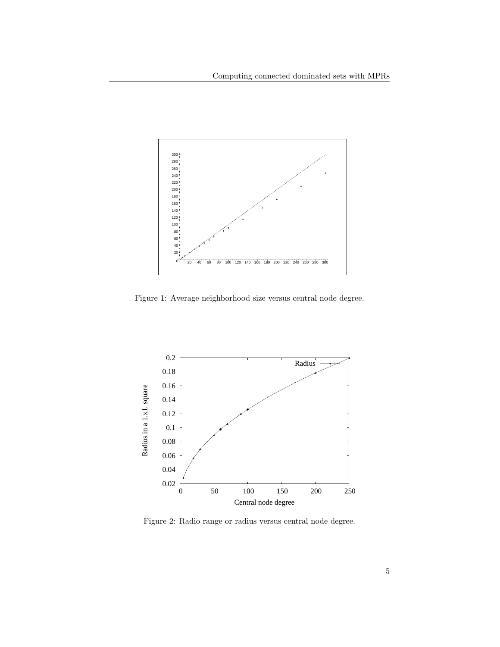

Figure 1: Average neighborhood size versus central node degree.



Figure 2: Radio range or radius versus central node degree.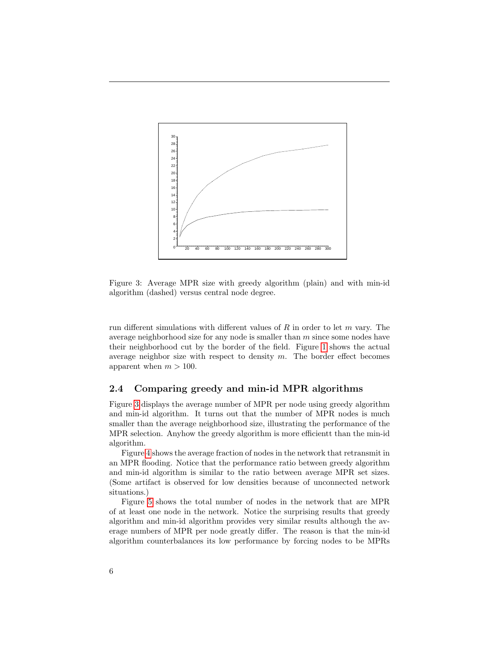

Figure 3: Average MPR size with greedy algorithm (plain) and with min-id algorithm (dashed) versus central node degree.

run different simulations with different values of  $R$  in order to let  $m$  vary. The average neighborhood size for any node is smaller than  $m$  since some nodes have their neighborhood cut by the border of the field. Figure 1 shows the actual average neighbor size with respect to density  $m$ . The border effect becomes apparent when  $m > 100$ .

## 2.4 Comparing greedy and min-id MPR algorithms

Figure 3 displays the average number of MPR per node using greedy algorithm and min-id algorithm. It turns out that the number of MPR nodes is much smaller than the average neighborhood size, illustrating the performance of the MPR selection. Anyhow the greedy algorithm is more efficientt than the min-id algorithm.

Figure 4 shows the average fraction of nodes in the network that retransmit in an MPR flooding. Notice that the performance ratio between greedy algorithm and min-id algorithm is similar to the ratio between average MPR set sizes. (Some artifact is observed for low densities because of unconnected network situations.)

Figure 5 shows the total number of nodes in the network that are MPR of at least one node in the network. Notice the surprising results that greedy algorithm and min-id algorithm provides very similar results although the average numbers of MPR per node greatly differ. The reason is that the min-id algorithm counterbalances its low performance by forcing nodes to be MPRs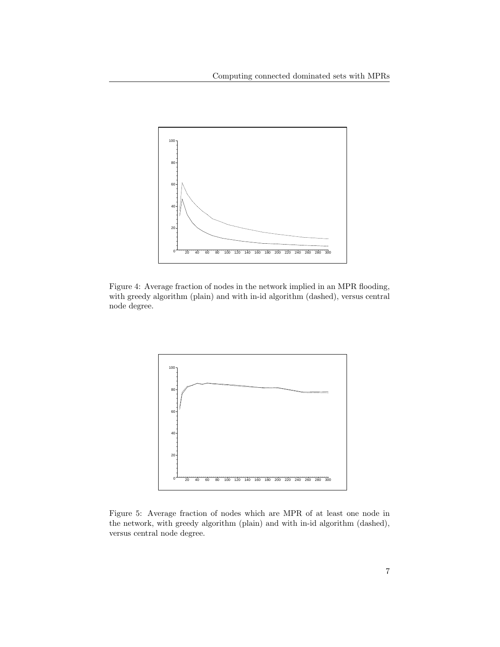

Figure 4: Average fraction of nodes in the network implied in an MPR flooding, with greedy algorithm (plain) and with in-id algorithm (dashed), versus central node degree.



Figure 5: Average fraction of nodes which are MPR of at least one node in the network, with greedy algorithm (plain) and with in-id algorithm (dashed), versus central node degree.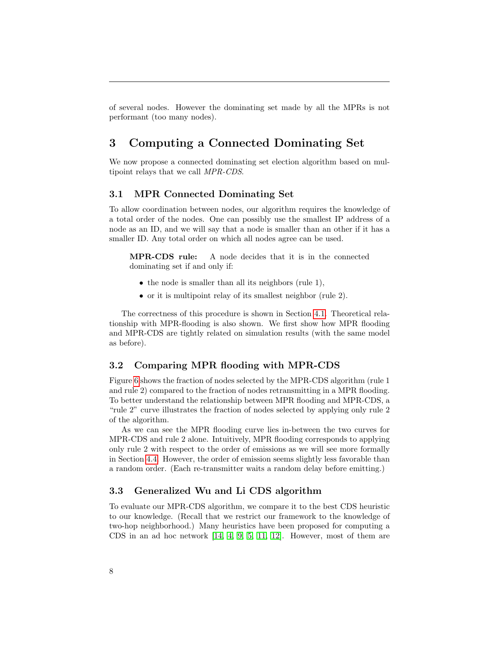of several nodes. However the dominating set made by all the MPRs is not performant (too many nodes).

# 3 Computing a Connected Dominating Set

We now propose a connected dominating set election algorithm based on multipoint relays that we call MPR-CDS.

## 3.1 MPR Connected Dominating Set

To allow coordination between nodes, our algorithm requires the knowledge of a total order of the nodes. One can possibly use the smallest IP address of a node as an ID, and we will say that a node is smaller than an other if it has a smaller ID. Any total order on which all nodes agree can be used.

MPR-CDS rule: A node decides that it is in the connected dominating set if and only if:

- the node is smaller than all its neighbors (rule 1),
- or it is multipoint relay of its smallest neighbor (rule 2).

The correctness of this procedure is shown in Section 4.1. Theoretical relationship with MPR-flooding is also shown. We first show how MPR flooding and MPR-CDS are tightly related on simulation results (with the same model as before).

#### 3.2 Comparing MPR flooding with MPR-CDS

Figure 6 shows the fraction of nodes selected by the MPR-CDS algorithm (rule 1 and rule 2) compared to the fraction of nodes retransmitting in a MPR flooding. To better understand the relationship between MPR flooding and MPR-CDS, a "rule 2" curve illustrates the fraction of nodes selected by applying only rule 2 of the algorithm.

As we can see the MPR flooding curve lies in-between the two curves for MPR-CDS and rule 2 alone. Intuitively, MPR flooding corresponds to applying only rule 2 with respect to the order of emissions as we will see more formally in Section 4.4. However, the order of emission seems slightly less favorable than a random order. (Each re-transmitter waits a random delay before emitting.)

### 3.3 Generalized Wu and Li CDS algorithm

To evaluate our MPR-CDS algorithm, we compare it to the best CDS heuristic to our knowledge. (Recall that we restrict our framework to the knowledge of two-hop neighborhood.) Many heuristics have been proposed for computing a CDS in an ad hoc network [14, 4, 9, 5, 11, 12]. However, most of them are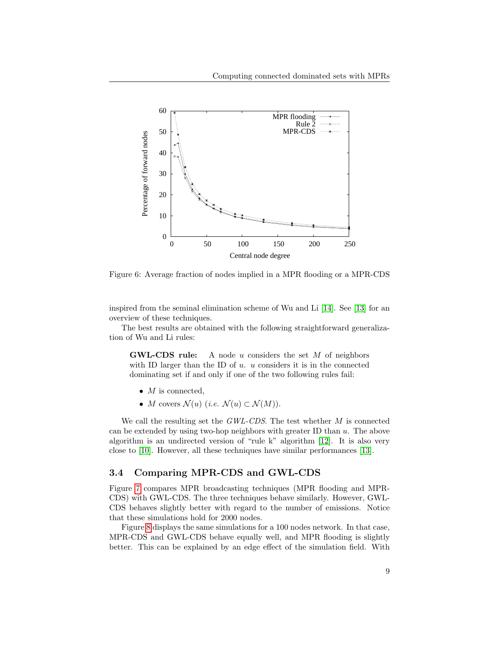

Figure 6: Average fraction of nodes implied in a MPR flooding or a MPR-CDS

inspired from the seminal elimination scheme of Wu and Li [14]. See [13] for an overview of these techniques.

The best results are obtained with the following straightforward generalization of Wu and Li rules:

**GWL-CDS** rule: A node u considers the set  $M$  of neighbors with ID larger than the ID of  $u$ .  $u$  considers it is in the connected dominating set if and only if one of the two following rules fail:

- $M$  is connected,
- M covers  $\mathcal{N}(u)$  (i.e.  $\mathcal{N}(u) \subset \mathcal{N}(M)$ ).

We call the resulting set the  $GWL-CDS$ . The test whether  $M$  is connected can be extended by using two-hop neighbors with greater ID than u. The above algorithm is an undirected version of "rule k" algorithm [12]. It is also very close to [10]. However, all these techniques have similar performances [13].

## 3.4 Comparing MPR-CDS and GWL-CDS

Figure 7 compares MPR broadcasting techniques (MPR flooding and MPR-CDS) with GWL-CDS. The three techniques behave similarly. However, GWL-CDS behaves slightly better with regard to the number of emissions. Notice that these simulations hold for 2000 nodes.

Figure 8 displays the same simulations for a 100 nodes network. In that case, MPR-CDS and GWL-CDS behave equally well, and MPR flooding is slightly better. This can be explained by an edge effect of the simulation field. With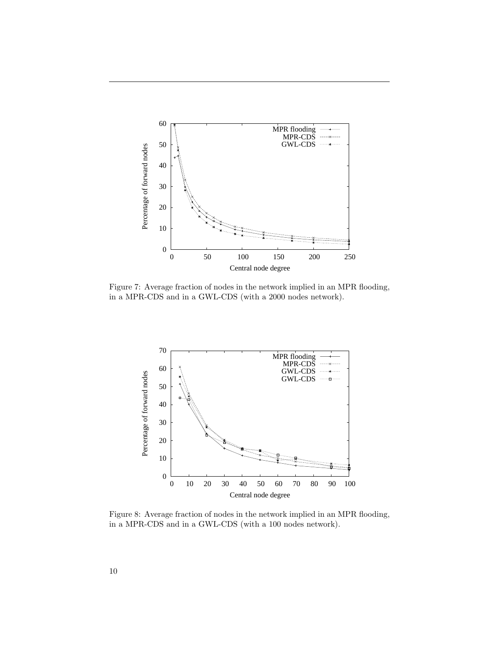

Figure 7: Average fraction of nodes in the network implied in an MPR flooding, in a MPR-CDS and in a GWL-CDS (with a 2000 nodes network).



Figure 8: Average fraction of nodes in the network implied in an MPR flooding, in a MPR-CDS and in a GWL-CDS (with a 100 nodes network).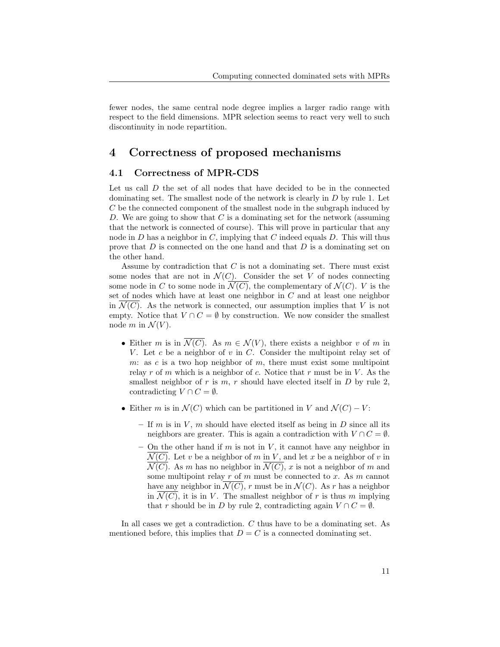fewer nodes, the same central node degree implies a larger radio range with respect to the field dimensions. MPR selection seems to react very well to such discontinuity in node repartition.

## 4 Correctness of proposed mechanisms

### 4.1 Correctness of MPR-CDS

Let us call  $D$  the set of all nodes that have decided to be in the connected dominating set. The smallest node of the network is clearly in  $D$  by rule 1. Let C be the connected component of the smallest node in the subgraph induced by D. We are going to show that  $C$  is a dominating set for the network (assuming that the network is connected of course). This will prove in particular that any node in  $D$  has a neighbor in  $C$ , implying that  $C$  indeed equals  $D$ . This will thus prove that D is connected on the one hand and that D is a dominating set on the other hand.

Assume by contradiction that  $C$  is not a dominating set. There must exist some nodes that are not in  $\mathcal{N}(C)$ . Consider the set V of nodes connecting some node in C to some node in  $\mathcal{N}(C)$ , the complementary of  $\mathcal{N}(C)$ . V is the set of nodes which have at least one neighbor in  $C$  and at least one neighbor in  $\mathcal{N}(C)$ . As the network is connected, our assumption implies that V is not empty. Notice that  $V \cap C = \emptyset$  by construction. We now consider the smallest node m in  $\mathcal{N}(V)$ .

- Either m is in  $\mathcal{N}(C)$ . As  $m \in \mathcal{N}(V)$ , there exists a neighbor v of m in V. Let c be a neighbor of  $v$  in  $C$ . Consider the multipoint relay set of m: as c is a two hop neighbor of m, there must exist some multipoint relay r of m which is a neighbor of c. Notice that r must be in  $V$ . As the smallest neighbor of r is  $m, r$  should have elected itself in  $D$  by rule 2, contradicting  $V \cap C = \emptyset$ .
- Either m is in  $\mathcal{N}(C)$  which can be partitioned in V and  $\mathcal{N}(C) V$ :
	- If m is in V, m should have elected itself as being in D since all its neighbors are greater. This is again a contradiction with  $V \cap C = \emptyset$ .
	- On the other hand if m is not in V, it cannot have any neighbor in  $\mathcal{N}(C)$ . Let v be a neighbor of m in V, and let x be a neighbor of v in  $\overline{\mathcal{N}(C)}$ . As m has no neighbor in  $\overline{\mathcal{N}(C)}$ , x is not a neighbor of m and some multipoint relay  $r$  of  $m$  must be connected to  $x$ . As  $m$  cannot have any neighbor in  $\overline{\mathcal{N}(C)}$ , r must be in  $\mathcal{N}(C)$ . As r has a neighbor in  $\mathcal{N}(C)$ , it is in V. The smallest neighbor of r is thus m implying that r should be in D by rule 2, contradicting again  $V \cap C = \emptyset$ .

In all cases we get a contradiction. C thus have to be a dominating set. As mentioned before, this implies that  $D = C$  is a connected dominating set.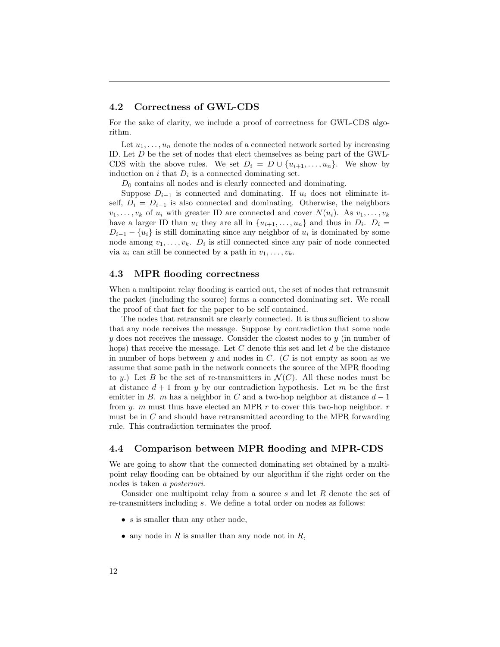#### 4.2 Correctness of GWL-CDS

For the sake of clarity, we include a proof of correctness for GWL-CDS algorithm.

Let  $u_1, \ldots, u_n$  denote the nodes of a connected network sorted by increasing ID. Let D be the set of nodes that elect themselves as being part of the GWL-CDS with the above rules. We set  $D_i = D \cup \{u_{i+1}, \ldots, u_n\}$ . We show by induction on  $i$  that  $D_i$  is a connected dominating set.

 $D_0$  contains all nodes and is clearly connected and dominating.

Suppose  $D_{i-1}$  is connected and dominating. If  $u_i$  does not eliminate itself,  $D_i = D_{i-1}$  is also connected and dominating. Otherwise, the neighbors  $v_1, \ldots, v_k$  of  $u_i$  with greater ID are connected and cover  $N(u_i)$ . As  $v_1, \ldots, v_k$ have a larger ID than  $u_i$  they are all in  $\{u_{i+1}, \ldots, u_n\}$  and thus in  $D_i$ .  $D_i =$  $D_{i-1} - \{u_i\}$  is still dominating since any neighbor of  $u_i$  is dominated by some node among  $v_1, \ldots, v_k$ .  $D_i$  is still connected since any pair of node connected via  $u_i$  can still be connected by a path in  $v_1, \ldots, v_k$ .

#### 4.3 MPR flooding correctness

When a multipoint relay flooding is carried out, the set of nodes that retransmit the packet (including the source) forms a connected dominating set. We recall the proof of that fact for the paper to be self contained.

The nodes that retransmit are clearly connected. It is thus sufficient to show that any node receives the message. Suppose by contradiction that some node  $y$  does not receives the message. Consider the closest nodes to  $y$  (in number of hops) that receive the message. Let  $C$  denote this set and let  $d$  be the distance in number of hops between  $y$  and nodes in  $C$ . (C is not empty as soon as we assume that some path in the network connects the source of the MPR flooding to y.) Let B be the set of re-transmitters in  $\mathcal{N}(C)$ . All these nodes must be at distance  $d+1$  from y by our contradiction hypothesis. Let m be the first emitter in B. m has a neighbor in C and a two-hop neighbor at distance  $d-1$ from y. m must thus have elected an MPR  $r$  to cover this two-hop neighbor.  $r$ must be in  $C$  and should have retransmitted according to the MPR forwarding rule. This contradiction terminates the proof.

#### 4.4 Comparison between MPR flooding and MPR-CDS

We are going to show that the connected dominating set obtained by a multipoint relay flooding can be obtained by our algorithm if the right order on the nodes is taken a posteriori.

Consider one multipoint relay from a source s and let R denote the set of re-transmitters including s. We define a total order on nodes as follows:

- $s$  is smaller than any other node,
- any node in R is smaller than any node not in R,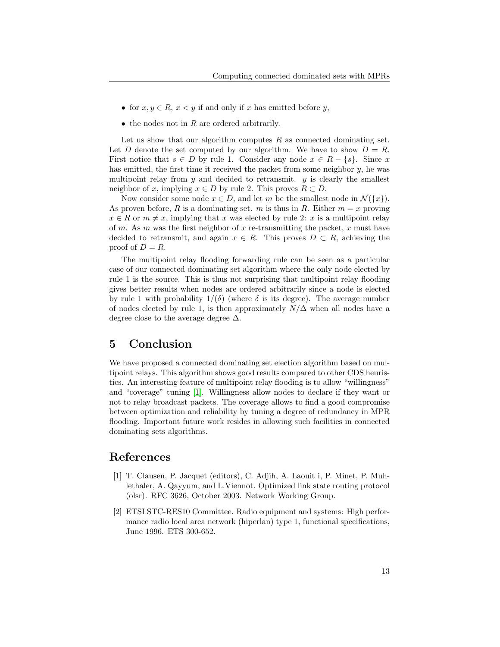- for  $x, y \in R$ ,  $x < y$  if and only if x has emitted before y,
- $\bullet$  the nodes not in R are ordered arbitrarily.

Let us show that our algorithm computes  $R$  as connected dominating set. Let D denote the set computed by our algorithm. We have to show  $D = R$ . First notice that  $s \in D$  by rule 1. Consider any node  $x \in R - \{s\}$ . Since x has emitted, the first time it received the packet from some neighbor y, he was multipoint relay from  $y$  and decided to retransmit.  $y$  is clearly the smallest neighbor of x, implying  $x \in D$  by rule 2. This proves  $R \subset D$ .

Now consider some node  $x \in D$ , and let m be the smallest node in  $\mathcal{N}(\lbrace x \rbrace)$ . As proven before, R is a dominating set. m is thus in R. Either  $m = x$  proving  $x \in R$  or  $m \neq x$ , implying that x was elected by rule 2: x is a multipoint relay of m. As m was the first neighbor of x re-transmitting the packet, x must have decided to retransmit, and again  $x \in R$ . This proves  $D \subset R$ , achieving the proof of  $D = R$ .

The multipoint relay flooding forwarding rule can be seen as a particular case of our connected dominating set algorithm where the only node elected by rule 1 is the source. This is thus not surprising that multipoint relay flooding gives better results when nodes are ordered arbitrarily since a node is elected by rule 1 with probability  $1/(\delta)$  (where  $\delta$  is its degree). The average number of nodes elected by rule 1, is then approximately  $N/\Delta$  when all nodes have a degree close to the average degree  $\Delta$ .

## 5 Conclusion

We have proposed a connected dominating set election algorithm based on multipoint relays. This algorithm shows good results compared to other CDS heuristics. An interesting feature of multipoint relay flooding is to allow "willingness" and "coverage" tuning [1]. Willingness allow nodes to declare if they want or not to relay broadcast packets. The coverage allows to find a good compromise between optimization and reliability by tuning a degree of redundancy in MPR flooding. Important future work resides in allowing such facilities in connected dominating sets algorithms.

## References

- [1] T. Clausen, P. Jacquet (editors), C. Adjih, A. Laouit i, P. Minet, P. Muhlethaler, A. Qayyum, and L.Viennot. Optimized link state routing protocol (olsr). RFC 3626, October 2003. Network Working Group.
- [2] ETSI STC-RES10 Committee. Radio equipment and systems: High performance radio local area network (hiperlan) type 1, functional specifications, June 1996. ETS 300-652.